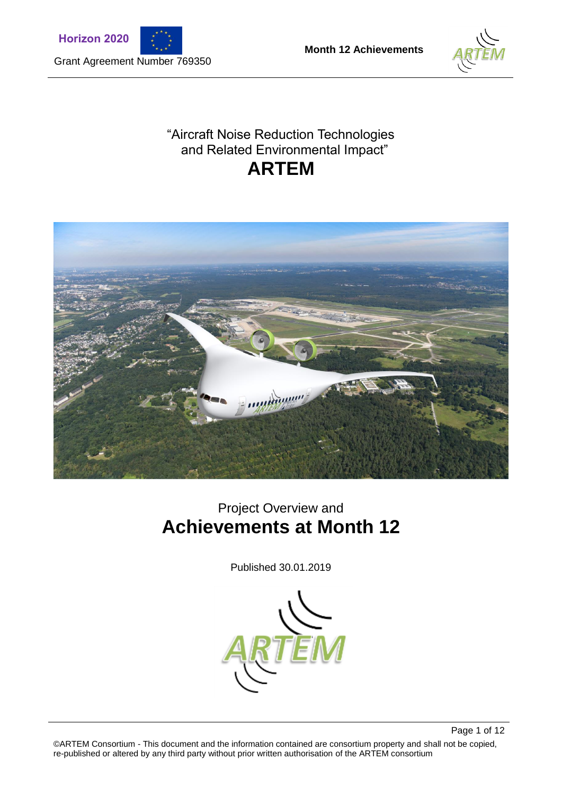





### "Aircraft Noise Reduction Technologies and Related Environmental Impact" **ARTEM**



# Project Overview and **Achievements at Month 12**

Published 30.01.2019



Page 1 of 12 ©ARTEM Consortium - This document and the information contained are consortium property and shall not be copied, re-published or altered by any third party without prior written authorisation of the ARTEM consortium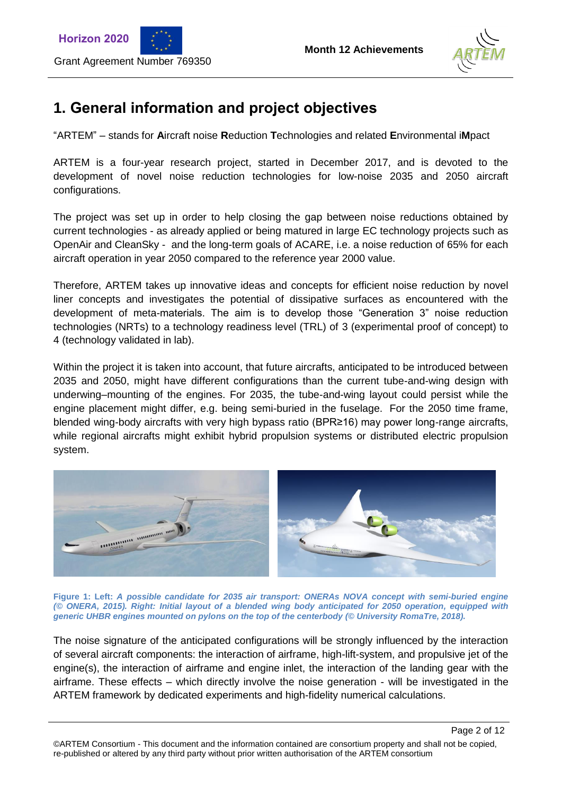



Page 2 of 12

### **1. General information and project objectives**

"ARTEM" – stands for **A**ircraft noise **R**eduction **T**echnologies and related **E**nvironmental i**M**pact

ARTEM is a four-year research project, started in December 2017, and is devoted to the development of novel noise reduction technologies for low-noise 2035 and 2050 aircraft configurations.

The project was set up in order to help closing the gap between noise reductions obtained by current technologies - as already applied or being matured in large EC technology projects such as OpenAir and CleanSky - and the long-term goals of ACARE, i.e. a noise reduction of 65% for each aircraft operation in year 2050 compared to the reference year 2000 value.

Therefore, ARTEM takes up innovative ideas and concepts for efficient noise reduction by novel liner concepts and investigates the potential of dissipative surfaces as encountered with the development of meta-materials. The aim is to develop those "Generation 3" noise reduction technologies (NRTs) to a technology readiness level (TRL) of 3 (experimental proof of concept) to 4 (technology validated in lab).

Within the project it is taken into account, that future aircrafts, anticipated to be introduced between 2035 and 2050, might have different configurations than the current tube-and-wing design with underwing–mounting of the engines. For 2035, the tube-and-wing layout could persist while the engine placement might differ, e.g. being semi-buried in the fuselage. For the 2050 time frame, blended wing-body aircrafts with very high bypass ratio (BPR≥16) may power long-range aircrafts, while regional aircrafts might exhibit hybrid propulsion systems or distributed electric propulsion system.



**Figure 1: Left:** *A possible candidate for 2035 air transport: ONERAs NOVA concept with semi-buried engine (© ONERA, 2015). Right: Initial layout of a blended wing body anticipated for 2050 operation, equipped with generic UHBR engines mounted on pylons on the top of the centerbody (© University RomaTre, 2018).*

The noise signature of the anticipated configurations will be strongly influenced by the interaction of several aircraft components: the interaction of airframe, high-lift-system, and propulsive jet of the engine(s), the interaction of airframe and engine inlet, the interaction of the landing gear with the airframe. These effects – which directly involve the noise generation - will be investigated in the ARTEM framework by dedicated experiments and high-fidelity numerical calculations.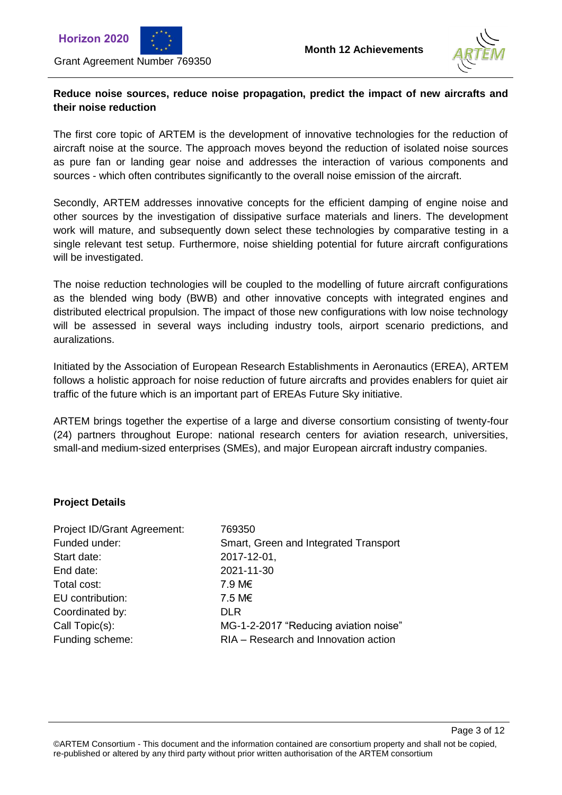



### **Reduce noise sources, reduce noise propagation, predict the impact of new aircrafts and their noise reduction**

The first core topic of ARTEM is the development of innovative technologies for the reduction of aircraft noise at the source. The approach moves beyond the reduction of isolated noise sources as pure fan or landing gear noise and addresses the interaction of various components and sources - which often contributes significantly to the overall noise emission of the aircraft.

Secondly, ARTEM addresses innovative concepts for the efficient damping of engine noise and other sources by the investigation of dissipative surface materials and liners. The development work will mature, and subsequently down select these technologies by comparative testing in a single relevant test setup. Furthermore, noise shielding potential for future aircraft configurations will be investigated.

The noise reduction technologies will be coupled to the modelling of future aircraft configurations as the blended wing body (BWB) and other innovative concepts with integrated engines and distributed electrical propulsion. The impact of those new configurations with low noise technology will be assessed in several ways including industry tools, airport scenario predictions, and auralizations.

Initiated by the Association of European Research Establishments in Aeronautics (EREA), ARTEM follows a holistic approach for noise reduction of future aircrafts and provides enablers for quiet air traffic of the future which is an important part of EREAs Future Sky initiative.

ARTEM brings together the expertise of a large and diverse consortium consisting of twenty-four (24) partners throughout Europe: national research centers for aviation research, universities, small-and medium-sized enterprises (SMEs), and major European aircraft industry companies.

#### **Project Details**

| 769350                                |
|---------------------------------------|
| Smart, Green and Integrated Transport |
| 2017-12-01,                           |
| 2021-11-30                            |
| 7.9 M€                                |
| 7.5 M€                                |
| <b>DLR</b>                            |
| MG-1-2-2017 "Reducing aviation noise" |
| RIA - Research and Innovation action  |
|                                       |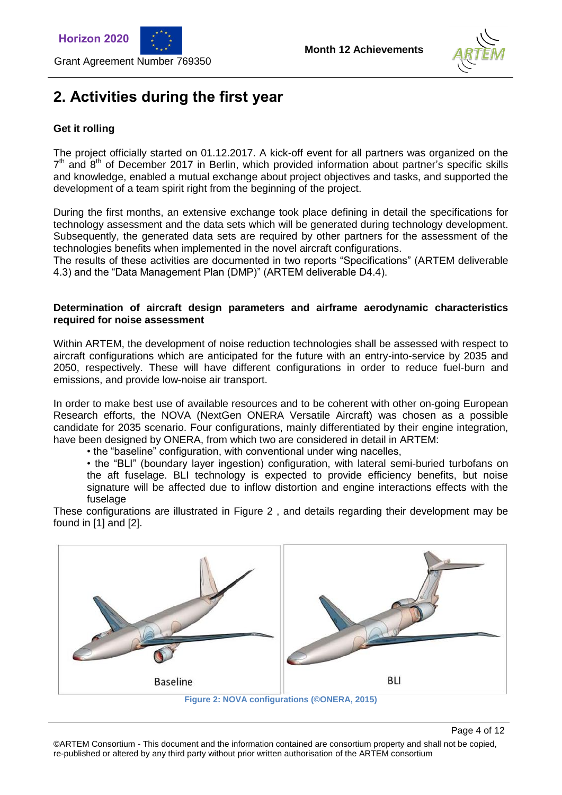





# **2. Activities during the first year**

### **Get it rolling**

The project officially started on 01.12.2017. A kick-off event for all partners was organized on the  $7<sup>th</sup>$  and  $8<sup>th</sup>$  of December 2017 in Berlin, which provided information about partner's specific skills and knowledge, enabled a mutual exchange about project objectives and tasks, and supported the development of a team spirit right from the beginning of the project.

During the first months, an extensive exchange took place defining in detail the specifications for technology assessment and the data sets which will be generated during technology development. Subsequently, the generated data sets are required by other partners for the assessment of the technologies benefits when implemented in the novel aircraft configurations.

The results of these activities are documented in two reports "Specifications" (ARTEM deliverable 4.3) and the "Data Management Plan (DMP)" (ARTEM deliverable D4.4).

#### **Determination of aircraft design parameters and airframe aerodynamic characteristics required for noise assessment**

Within ARTEM, the development of noise reduction technologies shall be assessed with respect to aircraft configurations which are anticipated for the future with an entry-into-service by 2035 and 2050, respectively. These will have different configurations in order to reduce fuel-burn and emissions, and provide low-noise air transport.

In order to make best use of available resources and to be coherent with other on-going European Research efforts, the NOVA (NextGen ONERA Versatile Aircraft) was chosen as a possible candidate for 2035 scenario. Four configurations, mainly differentiated by their engine integration, have been designed by ONERA, from which two are considered in detail in ARTEM:

• the "baseline" configuration, with conventional under wing nacelles,

• the "BLI" (boundary layer ingestion) configuration, with lateral semi-buried turbofans on the aft fuselage. BLI technology is expected to provide efficiency benefits, but noise signature will be affected due to inflow distortion and engine interactions effects with the fuselage

These configurations are illustrated in [Figure 2](#page-3-0) , and details regarding their development may be found in [1] and [2].



<span id="page-3-0"></span>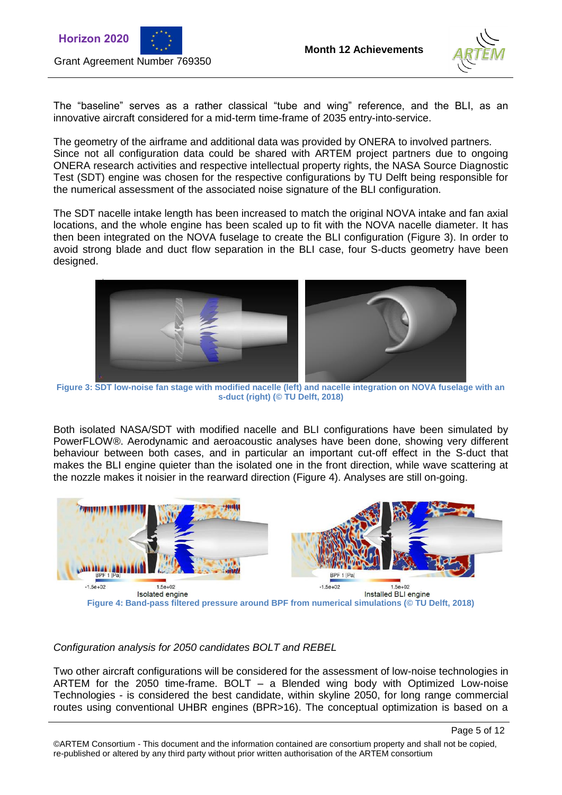





The "baseline" serves as a rather classical "tube and wing" reference, and the BLI, as an innovative aircraft considered for a mid-term time-frame of 2035 entry-into-service.

The geometry of the airframe and additional data was provided by ONERA to involved partners. Since not all configuration data could be shared with ARTEM project partners due to ongoing ONERA research activities and respective intellectual property rights, the NASA Source Diagnostic Test (SDT) engine was chosen for the respective configurations by TU Delft being responsible for the numerical assessment of the associated noise signature of the BLI configuration.

The SDT nacelle intake length has been increased to match the original NOVA intake and fan axial locations, and the whole engine has been scaled up to fit with the NOVA nacelle diameter. It has then been integrated on the NOVA fuselage to create the BLI configuration [\(Figure 3\)](#page-4-0). In order to avoid strong blade and duct flow separation in the BLI case, four S-ducts geometry have been designed.



**Figure 3: SDT low-noise fan stage with modified nacelle (left) and nacelle integration on NOVA fuselage with an s-duct (right) (© TU Delft, 2018)**

<span id="page-4-0"></span>Both isolated NASA/SDT with modified nacelle and BLI configurations have been simulated by PowerFLOW®. Aerodynamic and aeroacoustic analyses have been done, showing very different behaviour between both cases, and in particular an important cut-off effect in the S-duct that makes the BLI engine quieter than the isolated one in the front direction, while wave scattering at the nozzle makes it noisier in the rearward direction [\(Figure 4\)](#page-4-1). Analyses are still on-going.



#### <span id="page-4-1"></span>*Configuration analysis for 2050 candidates BOLT and REBEL*

Two other aircraft configurations will be considered for the assessment of low-noise technologies in ARTEM for the 2050 time-frame. BOLT – a Blended wing body with Optimized Low-noise Technologies - is considered the best candidate, within skyline 2050, for long range commercial routes using conventional UHBR engines (BPR>16). The conceptual optimization is based on a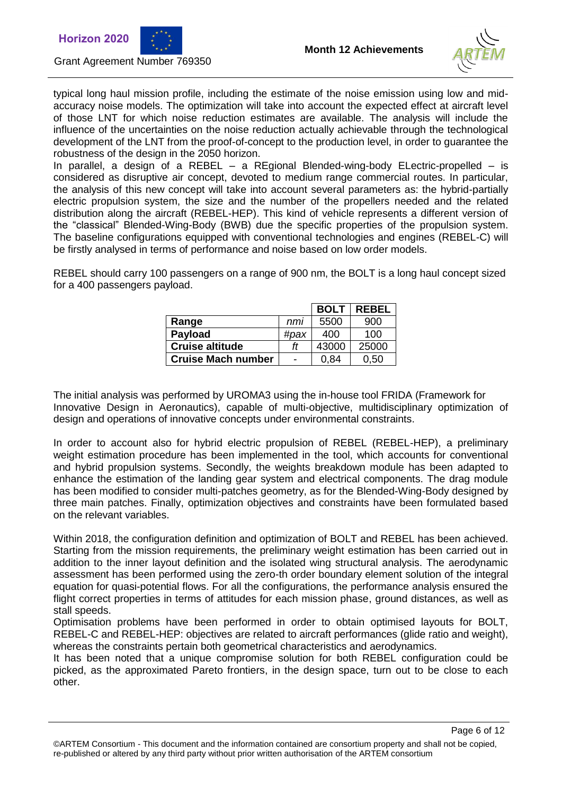



Page 6 of 12

typical long haul mission profile, including the estimate of the noise emission using low and midaccuracy noise models. The optimization will take into account the expected effect at aircraft level of those LNT for which noise reduction estimates are available. The analysis will include the influence of the uncertainties on the noise reduction actually achievable through the technological development of the LNT from the proof-of-concept to the production level, in order to guarantee the robustness of the design in the 2050 horizon.

In parallel, a design of a REBEL – a REgional Blended-wing-body ELectric-propelled – is considered as disruptive air concept, devoted to medium range commercial routes. In particular, the analysis of this new concept will take into account several parameters as: the hybrid-partially electric propulsion system, the size and the number of the propellers needed and the related distribution along the aircraft (REBEL-HEP). This kind of vehicle represents a different version of the "classical" Blended-Wing-Body (BWB) due the specific properties of the propulsion system. The baseline configurations equipped with conventional technologies and engines (REBEL-C) will be firstly analysed in terms of performance and noise based on low order models.

REBEL should carry 100 passengers on a range of 900 nm, the BOLT is a long haul concept sized for a 400 passengers payload.

|                           |                          | <b>BOLT</b> | <b>REBEL</b> |
|---------------------------|--------------------------|-------------|--------------|
| Range                     | nmi                      | 5500        | 900          |
| <b>Payload</b>            | #pax                     | 400         | 100          |
| <b>Cruise altitude</b>    | ff                       | 43000       | 25000        |
| <b>Cruise Mach number</b> | $\overline{\phantom{0}}$ | 0.84        | 0.50         |

The initial analysis was performed by UROMA3 using the in-house tool FRIDA (Framework for Innovative Design in Aeronautics), capable of multi-objective, multidisciplinary optimization of design and operations of innovative concepts under environmental constraints.

In order to account also for hybrid electric propulsion of REBEL (REBEL-HEP), a preliminary weight estimation procedure has been implemented in the tool, which accounts for conventional and hybrid propulsion systems. Secondly, the weights breakdown module has been adapted to enhance the estimation of the landing gear system and electrical components. The drag module has been modified to consider multi-patches geometry, as for the Blended-Wing-Body designed by three main patches. Finally, optimization objectives and constraints have been formulated based on the relevant variables.

Within 2018, the configuration definition and optimization of BOLT and REBEL has been achieved. Starting from the mission requirements, the preliminary weight estimation has been carried out in addition to the inner layout definition and the isolated wing structural analysis. The aerodynamic assessment has been performed using the zero-th order boundary element solution of the integral equation for quasi-potential flows. For all the configurations, the performance analysis ensured the flight correct properties in terms of attitudes for each mission phase, ground distances, as well as stall speeds.

Optimisation problems have been performed in order to obtain optimised layouts for BOLT, REBEL-C and REBEL-HEP: objectives are related to aircraft performances (glide ratio and weight), whereas the constraints pertain both geometrical characteristics and aerodynamics.

It has been noted that a unique compromise solution for both REBEL configuration could be picked, as the approximated Pareto frontiers, in the design space, turn out to be close to each other.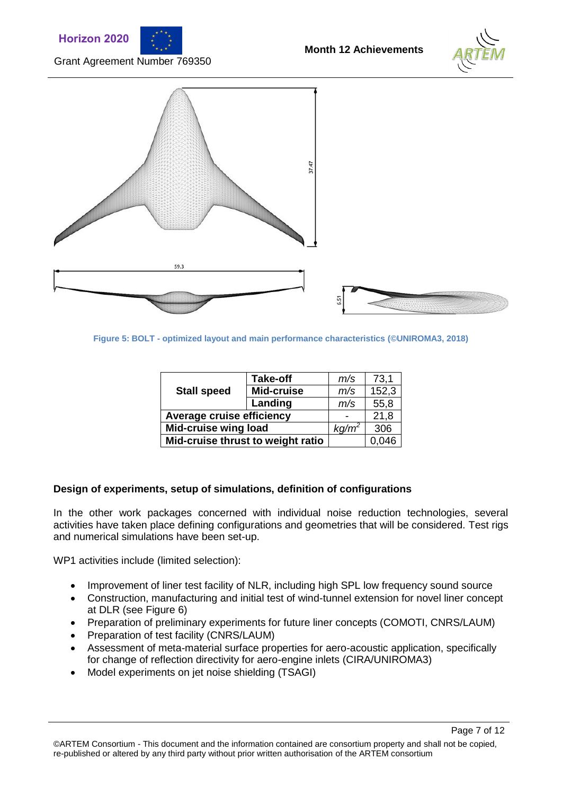





Page 7 of 12



**Figure 5: BOLT - optimized layout and main performance characteristics (©UNIROMA3, 2018)**

| <b>Stall speed</b>                | <b>Take-off</b> | m/s      | 73,1  |
|-----------------------------------|-----------------|----------|-------|
|                                   | Mid-cruise      | m/s      | 152,3 |
|                                   | Landing         | m/s      | 55,8  |
| Average cruise efficiency         |                 |          | 21,8  |
| <b>Mid-cruise wing load</b>       |                 | $kq/m^2$ | 306   |
| Mid-cruise thrust to weight ratio |                 |          | 0,046 |

#### **Design of experiments, setup of simulations, definition of configurations**

In the other work packages concerned with individual noise reduction technologies, several activities have taken place defining configurations and geometries that will be considered. Test rigs and numerical simulations have been set-up.

WP1 activities include (limited selection):

- Improvement of liner test facility of NLR, including high SPL low frequency sound source
- Construction, manufacturing and initial test of wind-tunnel extension for novel liner concept at DLR (see [Figure 6\)](#page-7-0)
- Preparation of preliminary experiments for future liner concepts (COMOTI, CNRS/LAUM)
- Preparation of test facility (CNRS/LAUM)
- Assessment of meta-material surface properties for aero-acoustic application, specifically for change of reflection directivity for aero-engine inlets (CIRA/UNIROMA3)
- Model experiments on jet noise shielding (TSAGI)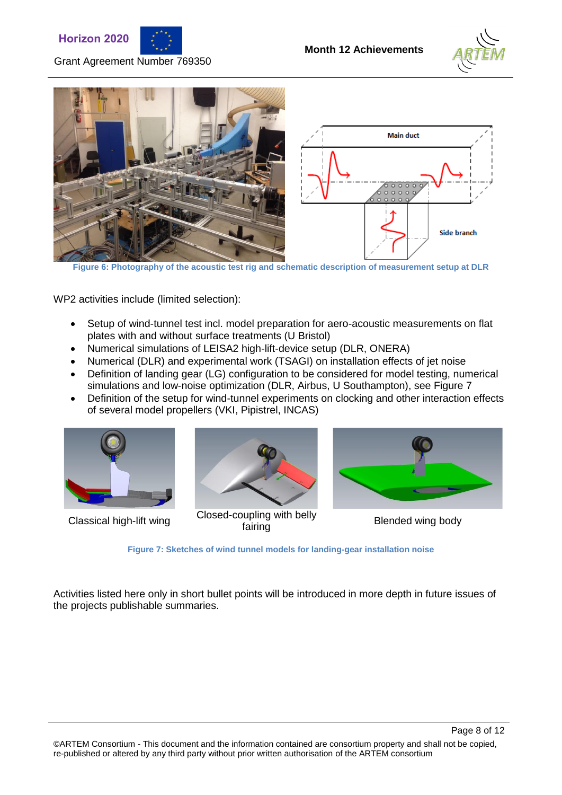







**Figure 6: Photography of the acoustic test rig and schematic description of measurement setup at DLR**

<span id="page-7-0"></span>WP2 activities include (limited selection):

- Setup of wind-tunnel test incl. model preparation for aero-acoustic measurements on flat plates with and without surface treatments (U Bristol)
- Numerical simulations of LEISA2 high-lift-device setup (DLR, ONERA)
- Numerical (DLR) and experimental work (TSAGI) on installation effects of jet noise
- Definition of landing gear (LG) configuration to be considered for model testing, numerical simulations and low-noise optimization (DLR, Airbus, U Southampton), see Figure 7
- Definition of the setup for wind-tunnel experiments on clocking and other interaction effects of several model propellers (VKI, Pipistrel, INCAS)





Classical high-lift wing Closed-coupling with belly



Blended wing body

**Figure 7: Sketches of wind tunnel models for landing-gear installation noise**

Activities listed here only in short bullet points will be introduced in more depth in future issues of the projects publishable summaries.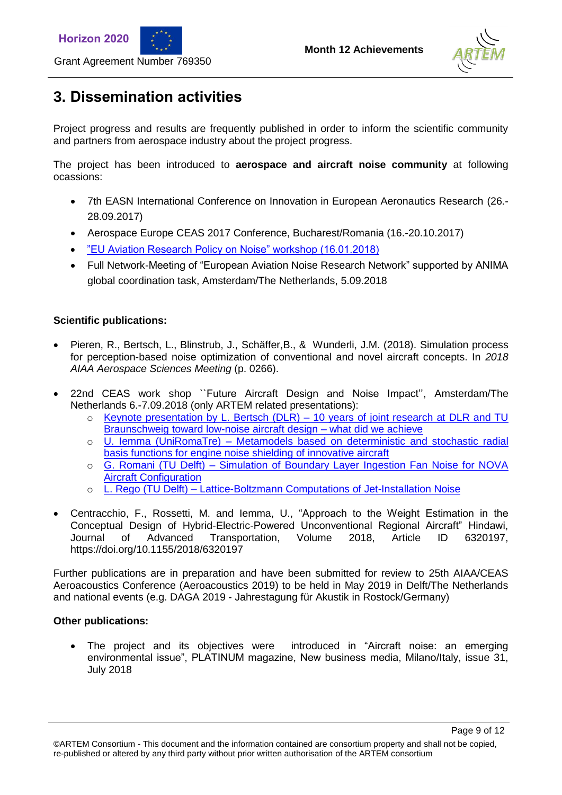



Page 9 of 12

# **3. Dissemination activities**

Grant Agreement Number 769350

Project progress and results are frequently published in order to inform the scientific community and partners from aerospace industry about the project progress.

The project has been introduced to **aerospace and aircraft noise community** at following ocassions:

- 7th EASN International Conference on Innovation in European Aeronautics Research (26.- 28.09.2017)
- Aerospace Europe CEAS 2017 Conference, Bucharest/Romania (16.-20.10.2017)
- ["EU Aviation Research Policy on Noise" workshop \(16.01.2018\)](http://ec.europa.eu/research/index.cfm?pg=events&eventcode=B80E68D2-FDCC-5E05-822E0CA15367976F)
- Full Network-Meeting of "European Aviation Noise Research Network" supported by ANIMA global coordination task, Amsterdam/The Netherlands, 5.09.2018

### **Scientific publications:**

- Pieren, R., Bertsch, L., Blinstrub, J., Schäffer,B., & Wunderli, J.M. (2018). Simulation process for perception-based noise optimization of conventional and novel aircraft concepts. In *2018 AIAA Aerospace Sciences Meeting* (p. 0266).
- 22nd CEAS work shop ``Future Aircraft Design and Noise Impact'', Amsterdam/The Netherlands 6.-7.09.2018 (only ARTEM related presentations):
	- o Keynote presentation by L. Bertsch (DLR) [10 years of joint research at DLR and TU](https://www.nlr.org/wp-content/uploads/2018/09/CEAS-KN1_Bertsch-10-years-of-joint-research-at-DLR-and-TU-Braunschweig-toward-low-noise-aircraft-design-%E2%80%93-what-did-we-achieve.pdf)  [Braunschweig toward low-noise aircraft design –](https://www.nlr.org/wp-content/uploads/2018/09/CEAS-KN1_Bertsch-10-years-of-joint-research-at-DLR-and-TU-Braunschweig-toward-low-noise-aircraft-design-%E2%80%93-what-did-we-achieve.pdf) what did we achieve
	- o U. Iemma (UniRomaTre) [Metamodels based on deterministic and stochastic radial](https://www.nlr.org/wp-content/uploads/2018/09/CEAS-p13_Iemma-Metamodels-based-on-deterministic-and-stochastic-radial-basis-functions-for-engine-noise-shielding-of-innovative-aircraft.pdf)  [basis functions for engine noise shielding of innovative aircraft](https://www.nlr.org/wp-content/uploads/2018/09/CEAS-p13_Iemma-Metamodels-based-on-deterministic-and-stochastic-radial-basis-functions-for-engine-noise-shielding-of-innovative-aircraft.pdf)
	- o G. Romani (TU Delft) [Simulation of Boundary Layer Ingestion Fan Noise for NOVA](https://www.nlr.org/wp-content/uploads/2018/09/CEAS-p12_Romani-Simulation-of-Boundary-Layer-Ingestion-Fan-Noise-for-NOVA-Aircraft-Configuration.pdf)  **[Aircraft Configuration](https://www.nlr.org/wp-content/uploads/2018/09/CEAS-p12_Romani-Simulation-of-Boundary-Layer-Ingestion-Fan-Noise-for-NOVA-Aircraft-Configuration.pdf)**
	- o L. Rego (TU Delft) [Lattice-Boltzmann Computations of Jet-Installation Noise](https://www.nlr.org/wp-content/uploads/2018/09/CEAS-p24_Rego-Lattice-Boltzmann-Computations-of-Jet-Installation-Noise.pdf)
- Centracchio, F., Rossetti, M. and Iemma, U., "Approach to the Weight Estimation in the Conceptual Design of Hybrid-Electric-Powered Unconventional Regional Aircraft" Hindawi, Journal of Advanced Transportation, Volume 2018, Article ID 6320197, https://doi.org/10.1155/2018/6320197

Further publications are in preparation and have been submitted for review to 25th AIAA/CEAS Aeroacoustics Conference (Aeroacoustics 2019) to be held in May 2019 in Delft/The Netherlands and national events (e.g. DAGA 2019 - Jahrestagung für Akustik in Rostock/Germany)

#### **Other publications:**

 The project and its objectives were introduced in "Aircraft noise: an emerging environmental issue", PLATINUM magazine, New business media, Milano/Italy, issue 31, July 2018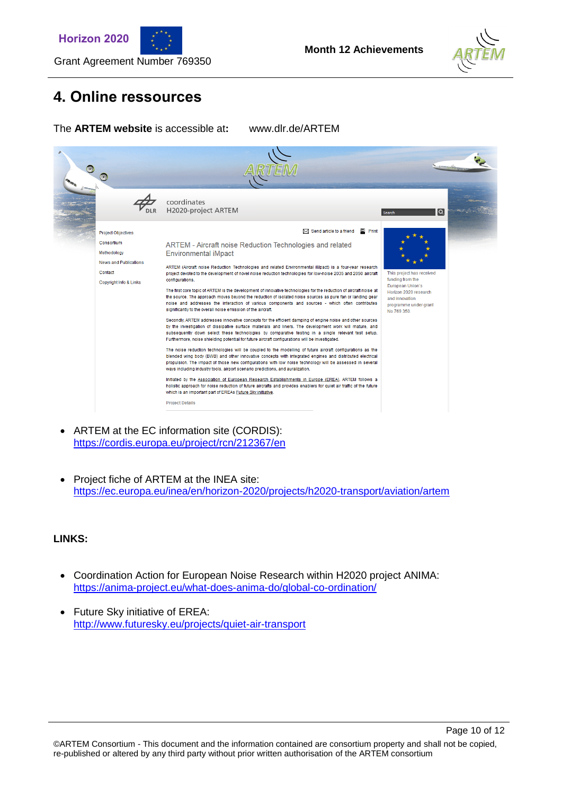





# **4. Online ressources**

Grant Agreement Number 769350

The **ARTEM website** is accessible at**:** www.dlr.de/ARTEM



- ARTEM at the EC information site (CORDIS): <https://cordis.europa.eu/project/rcn/212367/en>
- Project fiche of ARTEM at the INEA site: <https://ec.europa.eu/inea/en/horizon-2020/projects/h2020-transport/aviation/artem>

#### **LINKS:**

- Coordination Action for European Noise Research within H2020 project ANIMA: <https://anima-project.eu/what-does-anima-do/global-co-ordination/>
- Future Sky initiative of EREA: <http://www.futuresky.eu/projects/quiet-air-transport>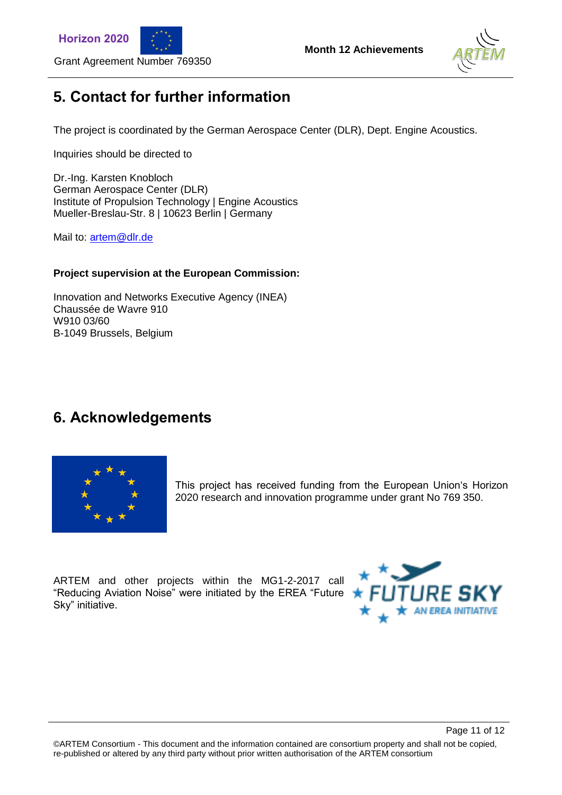





### **5. Contact for further information**

The project is coordinated by the German Aerospace Center (DLR), Dept. Engine Acoustics.

Inquiries should be directed to

Grant Agreement Number 769350

Dr.-Ing. Karsten Knobloch German Aerospace Center (DLR) Institute of Propulsion Technology | Engine Acoustics Mueller-Breslau-Str. 8 | 10623 Berlin | Germany

Mail to: [artem@dlr.de](mailto:artem@dlr.de)

#### **Project supervision at the European Commission:**

Innovation and Networks Executive Agency (INEA) Chaussée de Wavre 910 W910 03/60 B-1049 Brussels, Belgium

### **6. Acknowledgements**



This project has received funding from the European Union's Horizon 2020 research and innovation programme under grant No 769 350.

ARTEM and other projects within the MG1-2-2017 call "Reducing Aviation Noise" were initiated by the EREA "Future Sky" initiative.